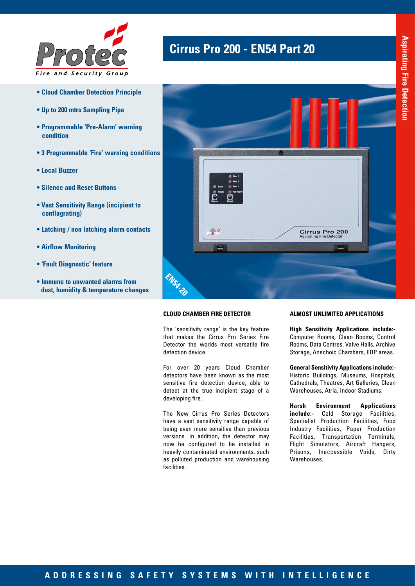

- **Cloud Chamber Detection Principle**
- **Up to 200 mtrs Sampling Pipe**
- **Programmable 'Pre-Alarm' warning condition**
- **3 Programmable 'Fire' warning conditions**
- **Local Buzzer**
- **Silence and Reset Buttons**
- **Vast Sensitivity Range (incipient to conflagrating)**
- **Latching / non latching alarm contacts**
- **Airflow Monitoring**
- **'Fault Diagnostic' feature**
- **Immune to unwanted alarms from dust, humidity & temperature changes**

## **Cirrus Pro 200 - EN54 Part 20**



### **CLOUD CHAMBER FIRE DETECTOR**

The 'sensitivity range' is the key feature that makes the Cirrus Pro Series Fire Detector the worlds most versatile fire detection device.

For over 20 years Cloud Chamber detectors have been known as the most sensitive fire detection device, able to detect at the true incipient stage of a developing fire.

The New Cirrus Pro Series Detectors have a vast sensitivity range capable of being even more sensitive than previous versions. In addition, the detector may now be configured to be installed in heavily contaminated environments, such as polluted production and warehousing facilities.

#### **ALMOST UNLIMITED APPLICATIONS**

**High Sensitivity Applications include:-** Computer Rooms, Clean Rooms, Control Rooms, Data Centres, Valve Halls, Archive Storage, Anechoic Chambers, EDP areas.

**General Sensitivity Applications include:-**  Historic Buildings, Museums, Hospitals, Cathedrals, Theatres, Art Galleries, Clean Warehouses, Atria, Indoor Stadiums.

**Harsh Environment Applications include:-** Cold Storage Facilities, Specialist Production Facilities, Food Industry Facilities, Paper Production Facilities, Transportation Terminals, Flight Simulators, Aircraft Hangers, Prisons, Inaccessible Voids, Dirty Warehouses.